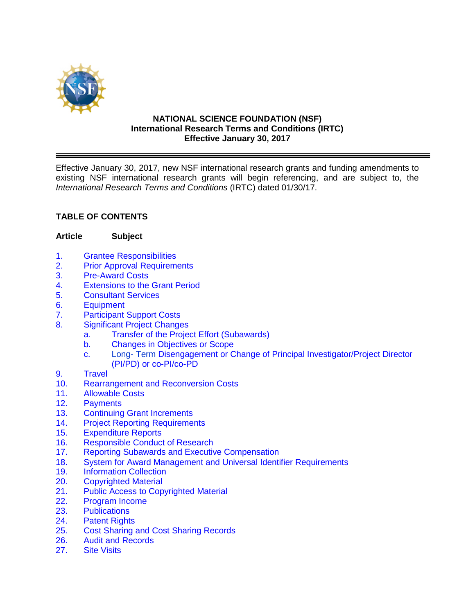

#### **NATIONAL SCIENCE FOUNDATION (NSF) International Research Terms and Conditions (IRTC) Effective January 30, 2017**

Effective January 30, 2017, new NSF international research grants and funding amendments to existing NSF international research grants will begin referencing, and are subject to, the *International Research Terms and Conditions* (IRTC) dated 01/30/17.

# **TABLE OF CONTENTS**

#### **Article Subject**

- 1. Grantee Responsibilities<br>2. Prior Approval Requirement
- **Prior Approval Requirements**
- 3. Pre-Award Costs
- 4. Extensions to the Grant Period
- 5. Consultant Services
- 6. Equipment
- 7. Participant Support Costs
- 8. Significant Project Changes
	- a. Transfer of the Project Effort (Subawards)
	- b. Changes in Objectives or Scope
	- c. Long- Term Disengagement or Change of Principal Investigator/Project Director (PI/PD) or co-PI/co-PD
- 9. Travel
- 10. Rearrangement and Reconversion Costs
- 11. Allowable Costs
- 12. Payments<br>13. Continuino
- 13. Continuing Grant Increments<br>14. Proiect Reporting Requirement
- **Project Reporting Requirements**
- 15. Expenditure Reports
- 16. Responsible Conduct of Research
- 17. Reporting Subawards and Executive Compensation
- 18. System for Award Management and Universal Identifier Requirements
- 19. Information Collection<br>20. Copyrighted Material
- **Copyrighted Material**
- 21. Public Access to Copyrighted Material
- 22. Program Income
- 23. Publications
- 24. Patent Rights
- 25. Cost Sharing and Cost Sharing Records
- 26. Audit and Records<br>27. Site Visits
- **Site Visits**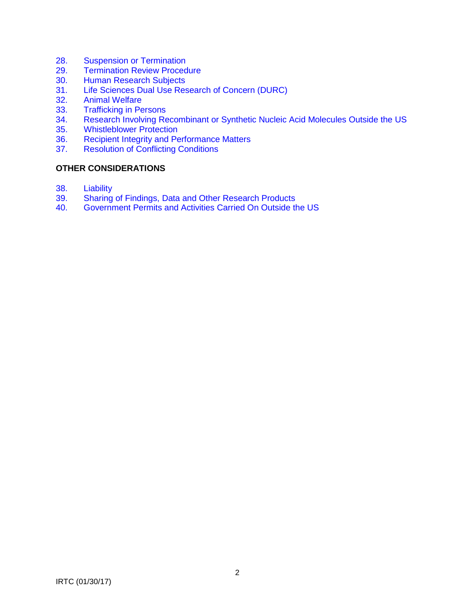- 28. Suspension or Termination<br>29. Termination Review Proced
- **Termination Review Procedure**
- 30. Human Research Subjects<br>31. Life Sciences Dual Use Res
- 31. Life Sciences Dual Use Research of Concern (DURC)<br>32. Animal Welfare
- 32. Animal Welfare<br>33. Trafficking in Pe
- 33. Trafficking in Persons<br>34. Research Involving Re
- Research Involving Recombinant or Synthetic Nucleic Acid Molecules Outside the US
- 35. Whistleblower Protection<br>36. Recipient Integrity and Pe
- 36. Recipient Integrity and Performance Matters<br>37. Resolution of Conflicting Conditions
- **Resolution of Conflicting Conditions**

#### **OTHER CONSIDERATIONS**

- 38. Liability<br>39. Sharing
- Sharing of Findings, Data and Other Research Products
- 40. Government Permits and Activities Carried On Outside the US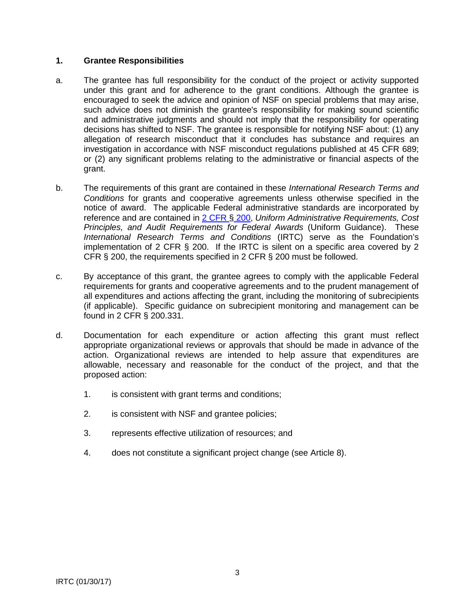#### **1. Grantee Responsibilities**

- a. The grantee has full responsibility for the conduct of the project or activity supported under this grant and for adherence to the grant conditions. Although the grantee is encouraged to seek the advice and opinion of NSF on special problems that may arise, such advice does not diminish the grantee's responsibility for making sound scientific and administrative judgments and should not imply that the responsibility for operating decisions has shifted to NSF. The grantee is responsible for notifying NSF about: (1) any allegation of research misconduct that it concludes has substance and requires an investigation in accordance with NSF misconduct regulations published at 45 CFR 689; or (2) any significant problems relating to the administrative or financial aspects of the grant.
- b. The requirements of this grant are contained in these *International Research Terms and Conditions* for grants and cooperative agreements unless otherwise specified in the notice of award. The applicable Federal administrative standards are incorporated by reference and are contained in [2 CFR §](http://www.ecfr.gov/cgi-bin/text-idx?SID=704835d27377ef5213a51c149de40cab&node=2:1.1.2.2.1&rgn=div5) 200, *Uniform Administrative Requirements, Cost Principles, and Audit Requirements for Federal Awards* (Uniform Guidance). These *International Research Terms and Conditions* (IRTC) serve as the Foundation's implementation of 2 CFR  $\S$  200. If the IRTC is silent on a specific area covered by 2 CFR § 200, the requirements specified in 2 CFR § 200 must be followed.
- c. By acceptance of this grant, the grantee agrees to comply with the applicable Federal requirements for grants and cooperative agreements and to the prudent management of all expenditures and actions affecting the grant, including the monitoring of subrecipients (if applicable). Specific guidance on subrecipient monitoring and management can be found in 2 CFR § 200.331.
- d. Documentation for each expenditure or action affecting this grant must reflect appropriate organizational reviews or approvals that should be made in advance of the action. Organizational reviews are intended to help assure that expenditures are allowable, necessary and reasonable for the conduct of the project, and that the proposed action:
	- 1. is consistent with grant terms and conditions;
	- 2. is consistent with NSF and grantee policies;
	- 3. represents effective utilization of resources; and
	- 4. does not constitute a significant project change (see Article 8).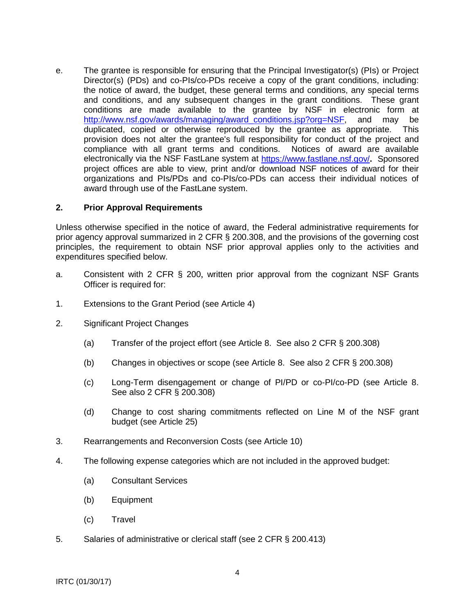e. The grantee is responsible for ensuring that the Principal Investigator(s) (PIs) or Project Director(s) (PDs) and co-PIs/co-PDs receive a copy of the grant conditions, including: the notice of award, the budget, these general terms and conditions, any special terms and conditions, and any subsequent changes in the grant conditions. These grant conditions are made available to the grantee by NSF in electronic form at http://www.nsf.gov/awards/managing/award\_conditions.jsp?org=NSF, and may be duplicated, copied or otherwise reproduced by the grantee as appropriate. This provision does not alter the grantee's full responsibility for conduct of the project and compliance with all grant terms and conditions. Notices of award are available electronically via the NSF FastLane system at<https://www.fastlane.nsf.gov/>**.** Sponsored project offices are able to view, print and/or download NSF notices of award for their organizations and PIs/PDs and co-PIs/co-PDs can access their individual notices of award through use of the FastLane system.

#### **2. Prior Approval Requirements**

Unless otherwise specified in the notice of award, the Federal administrative requirements for prior agency approval summarized in 2 CFR § 200.308, and the provisions of the governing cost principles, the requirement to obtain NSF prior approval applies only to the activities and expenditures specified below.

- a. Consistent with 2 CFR § 200, written prior approval from the cognizant NSF Grants Officer is required for:
- 1. Extensions to the Grant Period (see Article 4)
- 2. Significant Project Changes
	- (a) Transfer of the project effort (see Article 8. See also 2 CFR § 200.308)
	- (b) Changes in objectives or scope (see Article 8. See also 2 CFR § 200.308)
	- (c) Long-Term disengagement or change of PI/PD or co-PI/co-PD (see Article 8. See also 2 CFR § 200.308)
	- (d) Change to cost sharing commitments reflected on Line M of the NSF grant budget (see Article 25)
- 3. Rearrangements and Reconversion Costs (see Article 10)
- 4. The following expense categories which are not included in the approved budget:
	- (a) Consultant Services
	- (b) Equipment
	- (c) Travel
- 5. Salaries of administrative or clerical staff (see 2 CFR § 200.413)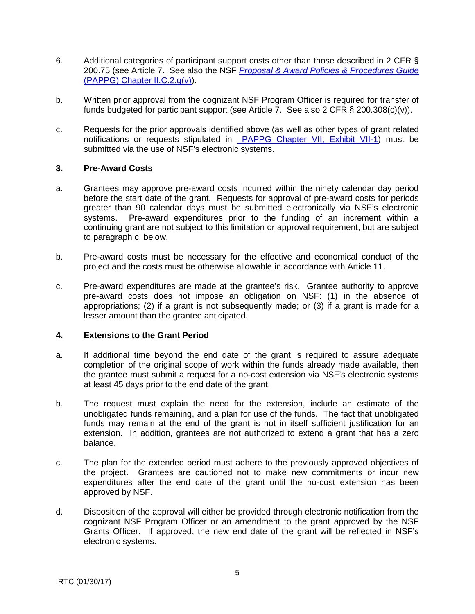- 6. Additional categories of participant support costs other than those described in 2 CFR § 200.75 (see Article 7. See also the NSF *[Proposal & Award Policies & Procedures Guide](https://www.nsf.gov/pubs/policydocs/pappg17_1/pappg_2.jsp#IIC2gv)* [\(PAPPG\) Chapter II.C.2.g\(v\)\)](https://www.nsf.gov/pubs/policydocs/pappg17_1/pappg_2.jsp#IIC2gv).
- b. Written prior approval from the cognizant NSF Program Officer is required for transfer of funds budgeted for participant support (see Article  $\overline{7}$ . See also 2 CFR § 200.308(c)(v)).
- c. Requests for the prior approvals identified above (as well as other types of grant related notifications or requests stipulated in PAPPG [Chapter VII, Exhibit VII-1\)](https://www.nsf.gov/pubs/policydocs/pappg17_1/pappg_7ex1.pdf) must be submitted via the use of NSF's electronic systems.

#### **3. Pre-Award Costs**

- a. Grantees may approve pre-award costs incurred within the ninety calendar day period before the start date of the grant. Requests for approval of pre-award costs for periods greater than 90 calendar days must be submitted electronically via NSF's electronic systems. Pre-award expenditures prior to the funding of an increment within a continuing grant are not subject to this limitation or approval requirement, but are subject to paragraph c. below.
- b. Pre-award costs must be necessary for the effective and economical conduct of the project and the costs must be otherwise allowable in accordance with Article 11.
- c. Pre-award expenditures are made at the grantee's risk. Grantee authority to approve pre-award costs does not impose an obligation on NSF: (1) in the absence of appropriations; (2) if a grant is not subsequently made; or (3) if a grant is made for a lesser amount than the grantee anticipated.

#### **4. Extensions to the Grant Period**

- a. If additional time beyond the end date of the grant is required to assure adequate completion of the original scope of work within the funds already made available, then the grantee must submit a request for a no-cost extension via NSF's electronic systems at least 45 days prior to the end date of the grant.
- b. The request must explain the need for the extension, include an estimate of the unobligated funds remaining, and a plan for use of the funds. The fact that unobligated funds may remain at the end of the grant is not in itself sufficient justification for an extension. In addition, grantees are not authorized to extend a grant that has a zero balance.
- c. The plan for the extended period must adhere to the previously approved objectives of the project. Grantees are cautioned not to make new commitments or incur new expenditures after the end date of the grant until the no-cost extension has been approved by NSF.
- d. Disposition of the approval will either be provided through electronic notification from the cognizant NSF Program Officer or an amendment to the grant approved by the NSF Grants Officer. If approved, the new end date of the grant will be reflected in NSF's electronic systems.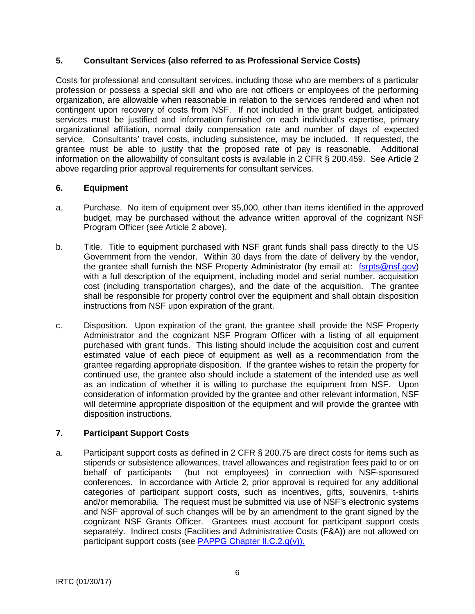# **5. Consultant Services (also referred to as Professional Service Costs)**

Costs for professional and consultant services, including those who are members of a particular profession or possess a special skill and who are not officers or employees of the performing organization, are allowable when reasonable in relation to the services rendered and when not contingent upon recovery of costs from NSF. If not included in the grant budget, anticipated services must be justified and information furnished on each individual's expertise, primary organizational affiliation, normal daily compensation rate and number of days of expected service. Consultants' travel costs, including subsistence, may be included. If requested, the grantee must be able to justify that the proposed rate of pay is reasonable. Additional information on the allowability of consultant costs is available in 2 CFR § 200.459. See Article 2 above regarding prior approval requirements for consultant services.

## **6. Equipment**

- a. Purchase. No item of equipment over \$5,000, other than items identified in the approved budget, may be purchased without the advance written approval of the cognizant NSF Program Officer (see Article 2 above).
- b. Title. Title to equipment purchased with NSF grant funds shall pass directly to the US Government from the vendor. Within 30 days from the date of delivery by the vendor, the grantee shall furnish the NSF Property Administrator (by email at: [fsrpts@nsf.gov\)](mailto:fsrpts@nsf.gov) with a full description of the equipment, including model and serial number, acquisition cost (including transportation charges), and the date of the acquisition. The grantee shall be responsible for property control over the equipment and shall obtain disposition instructions from NSF upon expiration of the grant.
- c. Disposition. Upon expiration of the grant, the grantee shall provide the NSF Property Administrator and the cognizant NSF Program Officer with a listing of all equipment purchased with grant funds. This listing should include the acquisition cost and current estimated value of each piece of equipment as well as a recommendation from the grantee regarding appropriate disposition. If the grantee wishes to retain the property for continued use, the grantee also should include a statement of the intended use as well as an indication of whether it is willing to purchase the equipment from NSF. Upon consideration of information provided by the grantee and other relevant information, NSF will determine appropriate disposition of the equipment and will provide the grantee with disposition instructions.

# **7. Participant Support Costs**

a. Participant support costs as defined in 2 CFR § 200.75 are direct costs for items such as stipends or subsistence allowances, travel allowances and registration fees paid to or on behalf of participants (but not employees) in connection with NSF-sponsored conferences. In accordance with Article 2, prior approval is required for any additional categories of participant support costs, such as incentives, gifts, souvenirs, t-shirts and/or memorabilia. The request must be submitted via use of NSF's electronic systems and NSF approval of such changes will be by an amendment to the grant signed by the cognizant NSF Grants Officer. Grantees must account for participant support costs separately. Indirect costs (Facilities and Administrative Costs (F&A)) are not allowed on participant support costs (see [PAPPG Chapter II.C.2.g\(v\)\).](https://www.nsf.gov/pubs/policydocs/pappg17_1/pappg_2.jsp#IIC2gv)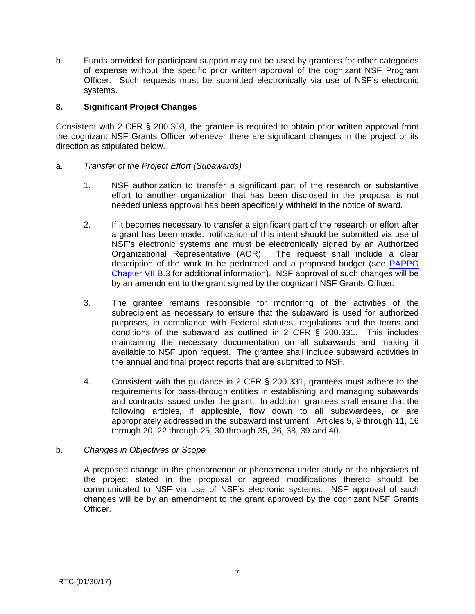b. Funds provided for participant support may not be used by grantees for other categories of expense without the specific prior written approval of the cognizant NSF Program Officer. Such requests must be submitted electronically via use of NSF's electronic systems.

## **8. Significant Project Changes**

Consistent with 2 CFR § 200.308, the grantee is required to obtain prior written approval from the cognizant NSF Grants Officer whenever there are significant changes in the project or its direction as stipulated below.

#### a. *Transfer of the Project Effort (Subawards)*

- 1. NSF authorization to transfer a significant part of the research or substantive effort to another organization that has been disclosed in the proposal is not needed unless approval has been specifically withheld in the notice of award.
- 2. If it becomes necessary to transfer a significant part of the research or effort after a grant has been made, notification of this intent should be submitted via use of NSF's electronic systems and must be electronically signed by an Authorized Organizational Representative (AOR). The request shall include a clear description of the work to be performed and a proposed budget (see [PAPPG](https://www.nsf.gov/pubs/policydocs/pappg17_1/pappg_7.jsp#VIIB3)  [Chapter VII.B.3](https://www.nsf.gov/pubs/policydocs/pappg17_1/pappg_7.jsp#VIIB3) for additional information). NSF approval of such changes will be by an amendment to the grant signed by the cognizant NSF Grants Officer.
- 3. The grantee remains responsible for monitoring of the activities of the subrecipient as necessary to ensure that the subaward is used for authorized purposes, in compliance with Federal statutes, regulations and the terms and conditions of the subaward as outlined in 2 CFR § 200.331. This includes maintaining the necessary documentation on all subawards and making it available to NSF upon request. The grantee shall include subaward activities in the annual and final project reports that are submitted to NSF.
- 4. Consistent with the guidance in 2 CFR § 200.331, grantees must adhere to the requirements for pass-through entities in establishing and managing subawards and contracts issued under the grant. In addition, grantees shall ensure that the following articles, if applicable, flow down to all subawardees, or are appropriately addressed in the subaward instrument: Articles 5, 9 through 11, 16 through 20, 22 through 25, 30 through 35, 36, 38, 39 and 40.

#### b. *Changes in Objectives or Scope*

A proposed change in the phenomenon or phenomena under study or the objectives of the project stated in the proposal or agreed modifications thereto should be communicated to NSF via use of NSF's electronic systems. NSF approval of such changes will be by an amendment to the grant approved by the cognizant NSF Grants Officer.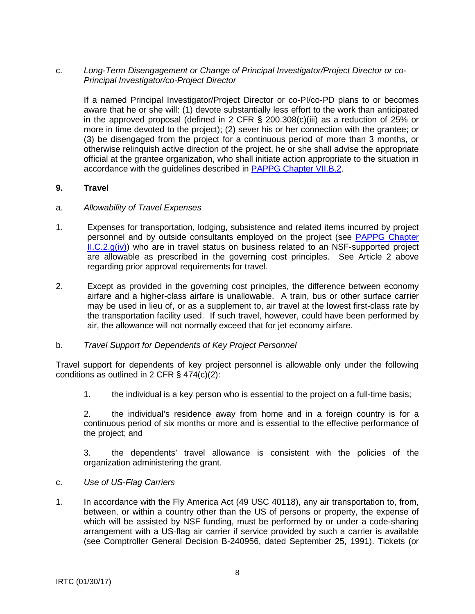## c. *Long-Term Disengagement or Change of Principal Investigator/Project Director or co-Principal Investigator/co-Project Director*

If a named Principal Investigator/Project Director or co-PI/co-PD plans to or becomes aware that he or she will: (1) devote substantially less effort to the work than anticipated in the approved proposal (defined in 2 CFR § 200.308(c)(iii) as a reduction of 25% or more in time devoted to the project); (2) sever his or her connection with the grantee; or (3) be disengaged from the project for a continuous period of more than 3 months, or otherwise relinquish active direction of the project, he or she shall advise the appropriate official at the grantee organization, who shall initiate action appropriate to the situation in accordance with the guidelines described in [PAPPG Chapter VII.B.2.](https://www.nsf.gov/pubs/policydocs/pappg17_1/pappg_7.jsp#VIIB2)

#### **9. Travel**

#### a. *Allowability of Travel Expenses*

- 1. Expenses for transportation, lodging, subsistence and related items incurred by project personnel and by outside consultants employed on the project (see [PAPPG Chapter](https://www.nsf.gov/pubs/policydocs/pappg17_1/pappg_2.jsp#IIC2giv)   $ILC.2.9(iv)$  who are in travel status on business related to an NSF-supported project are allowable as prescribed in the governing cost principles. See Article 2 above regarding prior approval requirements for travel.
- 2. Except as provided in the governing cost principles, the difference between economy airfare and a higher-class airfare is unallowable. A train, bus or other surface carrier may be used in lieu of, or as a supplement to, air travel at the lowest first-class rate by the transportation facility used. If such travel, however, could have been performed by air, the allowance will not normally exceed that for jet economy airfare.

## b. *Travel Support for Dependents of Key Project Personnel*

Travel support for dependents of key project personnel is allowable only under the following conditions as outlined in 2 CFR § 474(c)(2):

1. the individual is a key person who is essential to the project on a full-time basis;

2. the individual's residence away from home and in a foreign country is for a continuous period of six months or more and is essential to the effective performance of the project; and

3. the dependents' travel allowance is consistent with the policies of the organization administering the grant.

#### c. *Use of US-Flag Carriers*

1. In accordance with the Fly America Act (49 USC 40118), any air transportation to, from, between, or within a country other than the US of persons or property, the expense of which will be assisted by NSF funding, must be performed by or under a code-sharing arrangement with a US-flag air carrier if service provided by such a carrier is available (see Comptroller General Decision B-240956, dated September 25, 1991). Tickets (or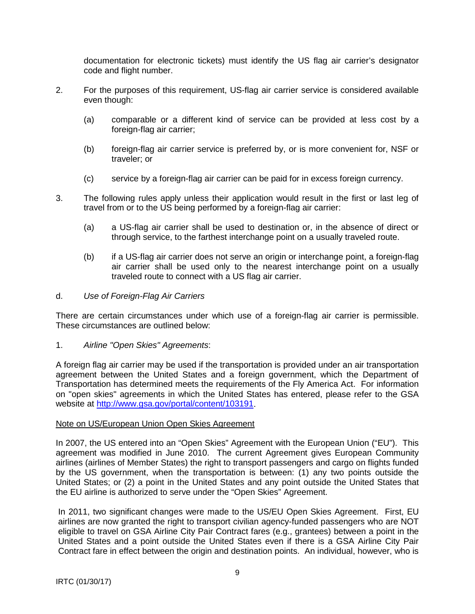documentation for electronic tickets) must identify the US flag air carrier's designator code and flight number.

- 2. For the purposes of this requirement, US-flag air carrier service is considered available even though:
	- (a) comparable or a different kind of service can be provided at less cost by a foreign-flag air carrier;
	- (b) foreign-flag air carrier service is preferred by, or is more convenient for, NSF or traveler; or
	- (c) service by a foreign-flag air carrier can be paid for in excess foreign currency.
- 3. The following rules apply unless their application would result in the first or last leg of travel from or to the US being performed by a foreign-flag air carrier:
	- (a) a US-flag air carrier shall be used to destination or, in the absence of direct or through service, to the farthest interchange point on a usually traveled route.
	- (b) if a US-flag air carrier does not serve an origin or interchange point, a foreign-flag air carrier shall be used only to the nearest interchange point on a usually traveled route to connect with a US flag air carrier.

#### d. *Use of Foreign-Flag Air Carriers*

There are certain circumstances under which use of a foreign-flag air carrier is permissible. These circumstances are outlined below:

1. *Airline "Open Skies" Agreements*:

A foreign flag air carrier may be used if the transportation is provided under an air transportation agreement between the United States and a foreign government, which the Department of Transportation has determined meets the requirements of the Fly America Act. For information on "open skies" agreements in which the United States has entered, please refer to the GSA website at [http://www.gsa.gov/portal/content/103191.](http://www.gsa.gov/portal/content/103191)

#### Note on US/European Union Open Skies Agreement

In 2007, the US entered into an "Open Skies" Agreement with the European Union ("EU"). This agreement was modified in June 2010. The current Agreement gives European Community airlines (airlines of Member States) the right to transport passengers and cargo on flights funded by the US government, when the transportation is between: (1) any two points outside the United States; or (2) a point in the United States and any point outside the United States that the EU airline is authorized to serve under the "Open Skies" Agreement.

In 2011, two significant changes were made to the US/EU Open Skies Agreement. First, EU airlines are now granted the right to transport civilian agency-funded passengers who are NOT eligible to travel on GSA Airline City Pair Contract fares (e.g., grantees) between a point in the United States and a point outside the United States even if there is a GSA Airline City Pair Contract fare in effect between the origin and destination points. An individual, however, who is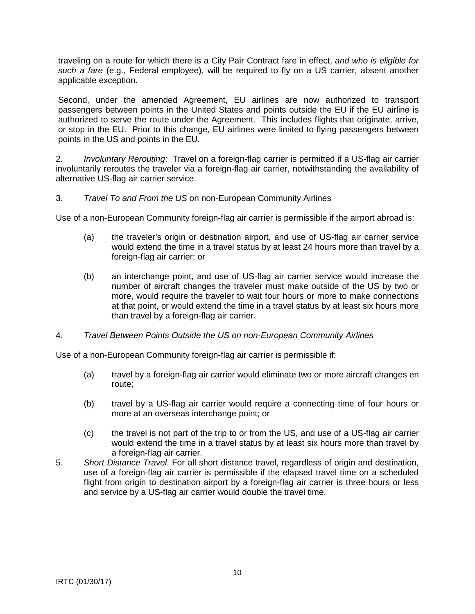traveling on a route for which there is a City Pair Contract fare in effect, *and who is eligible for such a fare* (e.g., Federal employee), will be required to fly on a US carrier, absent another applicable exception.

Second, under the amended Agreement, EU airlines are now authorized to transport passengers between points in the United States and points outside the EU if the EU airline is authorized to serve the route under the Agreement. This includes flights that originate, arrive, or stop in the EU. Prior to this change, EU airlines were limited to flying passengers between points in the US and points in the EU.

2. *Involuntary Rerouting*: Travel on a foreign-flag carrier is permitted if a US-flag air carrier involuntarily reroutes the traveler via a foreign-flag air carrier, notwithstanding the availability of alternative US-flag air carrier service.

## 3. *Travel To and From the US* on non-European Community Airlines

Use of a non-European Community foreign-flag air carrier is permissible if the airport abroad is:

- (a) the traveler's origin or destination airport, and use of US-flag air carrier service would extend the time in a travel status by at least 24 hours more than travel by a foreign-flag air carrier; or
- (b) an interchange point, and use of US-flag air carrier service would increase the number of aircraft changes the traveler must make outside of the US by two or more, would require the traveler to wait four hours or more to make connections at that point, or would extend the time in a travel status by at least six hours more than travel by a foreign-flag air carrier.

## 4. *Travel Between Points Outside the US on non-European Community Airlines*

Use of a non-European Community foreign-flag air carrier is permissible if:

- (a) travel by a foreign-flag air carrier would eliminate two or more aircraft changes en route;
- (b) travel by a US-flag air carrier would require a connecting time of four hours or more at an overseas interchange point; or
- (c) the travel is not part of the trip to or from the US, and use of a US-flag air carrier would extend the time in a travel status by at least six hours more than travel by a foreign-flag air carrier.
- 5. *Short Distance Travel*. For all short distance travel, regardless of origin and destination, use of a foreign-flag air carrier is permissible if the elapsed travel time on a scheduled flight from origin to destination airport by a foreign-flag air carrier is three hours or less and service by a US-flag air carrier would double the travel time.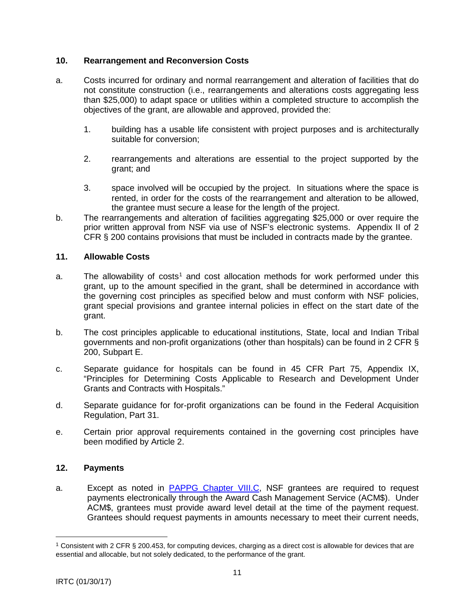## **10. Rearrangement and Reconversion Costs**

- a. Costs incurred for ordinary and normal rearrangement and alteration of facilities that do not constitute construction (i.e., rearrangements and alterations costs aggregating less than \$25,000) to adapt space or utilities within a completed structure to accomplish the objectives of the grant, are allowable and approved, provided the:
	- 1. building has a usable life consistent with project purposes and is architecturally suitable for conversion;
	- 2. rearrangements and alterations are essential to the project supported by the grant; and
	- 3. space involved will be occupied by the project. In situations where the space is rented, in order for the costs of the rearrangement and alteration to be allowed, the grantee must secure a lease for the length of the project.
- b. The rearrangements and alteration of facilities aggregating \$25,000 or over require the prior written approval from NSF via use of NSF's electronic systems. Appendix II of 2 CFR § 200 contains provisions that must be included in contracts made by the grantee.

#### **11. Allowable Costs**

- a. The allowability of costs<sup>[1](#page-10-0)</sup> and cost allocation methods for work performed under this grant, up to the amount specified in the grant, shall be determined in accordance with the governing cost principles as specified below and must conform with NSF policies, grant special provisions and grantee internal policies in effect on the start date of the grant.
- b. The cost principles applicable to educational institutions, State, local and Indian Tribal governments and non-profit organizations (other than hospitals) can be found in 2 CFR § 200, Subpart E.
- c. Separate guidance for hospitals can be found in 45 CFR Part 75, Appendix IX, "Principles for Determining Costs Applicable to Research and Development Under Grants and Contracts with Hospitals."
- d. Separate guidance for for-profit organizations can be found in the Federal Acquisition Regulation, Part 31.
- e. Certain prior approval requirements contained in the governing cost principles have been modified by Article 2.

## **12. Payments**

a. Except as noted in **PAPPG Chapter VIII.C**, NSF grantees are required to request payments electronically through the Award Cash Management Service (ACM\$). Under ACM\$, grantees must provide award level detail at the time of the payment request. Grantees should request payments in amounts necessary to meet their current needs,

 $\overline{a}$ 

<span id="page-10-0"></span><sup>1</sup> Consistent with 2 CFR § 200.453, for computing devices, charging as a direct cost is allowable for devices that are essential and allocable, but not solely dedicated, to the performance of the grant.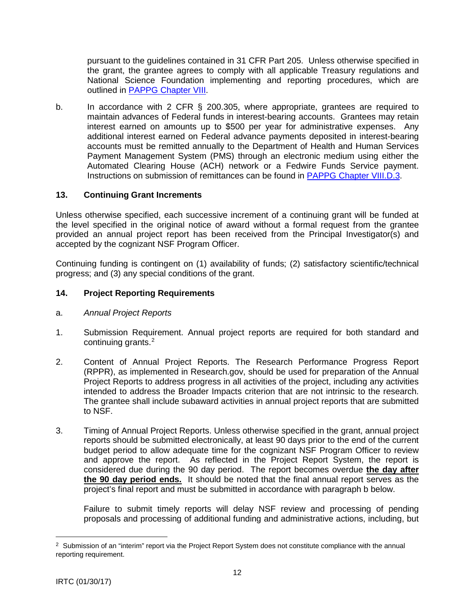pursuant to the guidelines contained in 31 CFR Part 205. Unless otherwise specified in the grant, the grantee agrees to comply with all applicable Treasury regulations and National Science Foundation implementing and reporting procedures, which are outlined in [PAPPG Chapter VIII.](https://www.nsf.gov/pubs/policydocs/pappg17_1/pappg_8.jsp)

b. In accordance with 2 CFR § 200.305, where appropriate, grantees are required to maintain advances of Federal funds in interest-bearing accounts. Grantees may retain interest earned on amounts up to \$500 per year for administrative expenses. Any additional interest earned on Federal advance payments deposited in interest-bearing accounts must be remitted annually to the Department of Health and Human Services Payment Management System (PMS) through an electronic medium using either the Automated Clearing House (ACH) network or a Fedwire Funds Service payment. Instructions on submission of remittances can be found in [PAPPG Chapter VIII.D.3.](https://www.nsf.gov/pubs/policydocs/pappg17_1/pappg_8.jsp#VIIID3)

# **13. Continuing Grant Increments**

Unless otherwise specified, each successive increment of a continuing grant will be funded at the level specified in the original notice of award without a formal request from the grantee provided an annual project report has been received from the Principal Investigator(s) and accepted by the cognizant NSF Program Officer.

Continuing funding is contingent on (1) availability of funds; (2) satisfactory scientific/technical progress; and (3) any special conditions of the grant.

# **14. Project Reporting Requirements**

- a. *Annual Project Reports*
- 1. Submission Requirement. Annual project reports are required for both standard and continuing grants.<sup>[2](#page-11-0)</sup>
- 2. Content of Annual Project Reports. The Research Performance Progress Report (RPPR), as implemented in Research.gov, should be used for preparation of the Annual Project Reports to address progress in all activities of the project, including any activities intended to address the Broader Impacts criterion that are not intrinsic to the research. The grantee shall include subaward activities in annual project reports that are submitted to NSF.
- 3. Timing of Annual Project Reports. Unless otherwise specified in the grant, annual project reports should be submitted electronically, at least 90 days prior to the end of the current budget period to allow adequate time for the cognizant NSF Program Officer to review and approve the report. As reflected in the Project Report System, the report is considered due during the 90 day period. The report becomes overdue **the day after the 90 day period ends.** It should be noted that the final annual report serves as the project's final report and must be submitted in accordance with paragraph b below.

Failure to submit timely reports will delay NSF review and processing of pending proposals and processing of additional funding and administrative actions, including, but

 $\overline{a}$ 

<span id="page-11-0"></span><sup>&</sup>lt;sup>2</sup> Submission of an "interim" report via the Project Report System does not constitute compliance with the annual reporting requirement.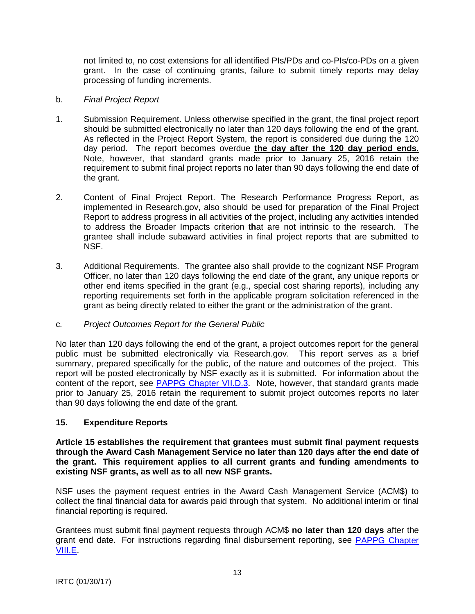not limited to, no cost extensions for all identified PIs/PDs and co-PIs/co-PDs on a given grant. In the case of continuing grants, failure to submit timely reports may delay processing of funding increments.

## b. *Final Project Report*

- 1. Submission Requirement. Unless otherwise specified in the grant, the final project report should be submitted electronically no later than 120 days following the end of the grant. As reflected in the Project Report System, the report is considered due during the 120 day period. The report becomes overdue **the day after the 120 day period ends**. Note, however, that standard grants made prior to January 25, 2016 retain the requirement to submit final project reports no later than 90 days following the end date of the grant.
- 2. Content of Final Project Report. The Research Performance Progress Report, as implemented in Research.gov, also should be used for preparation of the Final Project Report to address progress in all activities of the project, including any activities intended to address the Broader Impacts criterion t**h**at are not intrinsic to the research. The grantee shall include subaward activities in final project reports that are submitted to NSF.
- 3. Additional Requirements. The grantee also shall provide to the cognizant NSF Program Officer, no later than 120 days following the end date of the grant, any unique reports or other end items specified in the grant (e.g., special cost sharing reports), including any reporting requirements set forth in the applicable program solicitation referenced in the grant as being directly related to either the grant or the administration of the grant.

## c*. Project Outcomes Report for the General Public*

No later than 120 days following the end of the grant, a project outcomes report for the general public must be submitted electronically via Research.gov. This report serves as a brief summary, prepared specifically for the public, of the nature and outcomes of the project. This report will be posted electronically by NSF exactly as it is submitted. For information about the content of the report, see [PAPPG Chapter VII.D.3.](https://www.nsf.gov/pubs/policydocs/pappg17_1/pappg_7.jsp#VIID3) Note, however, that standard grants made prior to January 25, 2016 retain the requirement to submit project outcomes reports no later than 90 days following the end date of the grant.

## **15. Expenditure Reports**

**Article 15 establishes the requirement that grantees must submit final payment requests through the Award Cash Management Service no later than 120 days after the end date of the grant. This requirement applies to all current grants and funding amendments to existing NSF grants, as well as to all new NSF grants.**

NSF uses the payment request entries in the Award Cash Management Service (ACM\$) to collect the final financial data for awards paid through that system. No additional interim or final financial reporting is required.

Grantees must submit final payment requests through ACM\$ **no later than 120 days** after the grant end date. For instructions regarding final disbursement reporting, see [PAPPG Chapter](https://www.nsf.gov/pubs/policydocs/pappg17_1/pappg_8.jsp#VIIIE)  [VIII.E.](https://www.nsf.gov/pubs/policydocs/pappg17_1/pappg_8.jsp#VIIIE)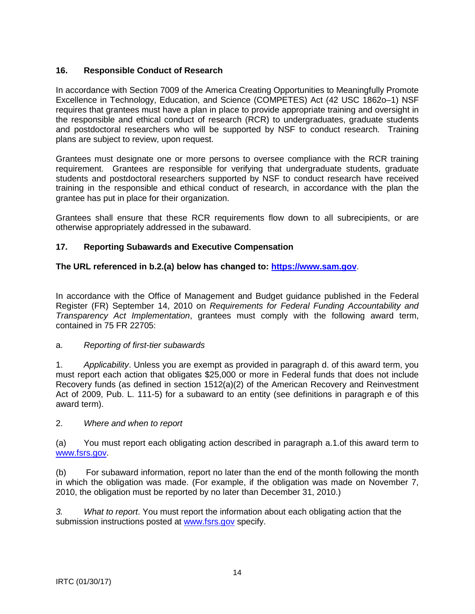# **16. Responsible Conduct of Research**

In accordance with Section 7009 of the America Creating Opportunities to Meaningfully Promote Excellence in Technology, Education, and Science (COMPETES) Act (42 USC 1862o–1) NSF requires that grantees must have a plan in place to provide appropriate training and oversight in the responsible and ethical conduct of research (RCR) to undergraduates, graduate students and postdoctoral researchers who will be supported by NSF to conduct research. Training plans are subject to review, upon request.

Grantees must designate one or more persons to oversee compliance with the RCR training requirement. Grantees are responsible for verifying that undergraduate students, graduate students and postdoctoral researchers supported by NSF to conduct research have received training in the responsible and ethical conduct of research, in accordance with the plan the grantee has put in place for their organization.

Grantees shall ensure that these RCR requirements flow down to all subrecipients, or are otherwise appropriately addressed in the subaward.

# **17. Reporting Subawards and Executive Compensation**

# **The URL referenced in b.2.(a) below has changed to: [https://www.sam.](https://www.sam.gov/)gov**.

In accordance with the Office of Management and Budget guidance published in the Federal Register (FR) September 14, 2010 on *Requirements for Federal Funding Accountability and Transparency Act Implementation*, grantees must comply with the following award term, contained in 75 FR 22705:

## a. *Reporting of first-tier subawards*

1. *Applicability*. Unless you are exempt as provided in paragraph d. of this award term, you must report each action that obligates \$25,000 or more in Federal funds that does not include Recovery funds (as defined in section 1512(a)(2) of the American Recovery and Reinvestment Act of 2009, Pub. L. 111-5) for a subaward to an entity (see definitions in paragraph e of this award term).

## 2. *Where and when to report*

(a) You must report each obligating action described in paragraph a.1.of this award term to [www.fsrs.gov.](http://www.fsrs.gov/)

(b) For subaward information, report no later than the end of the month following the month in which the obligation was made. (For example, if the obligation was made on November 7, 2010, the obligation must be reported by no later than December 31, 2010.)

*3. What to report*. You must report the information about each obligating action that the submission instructions posted at [www.fsrs.gov](http://www.fsrs.gov/) specify.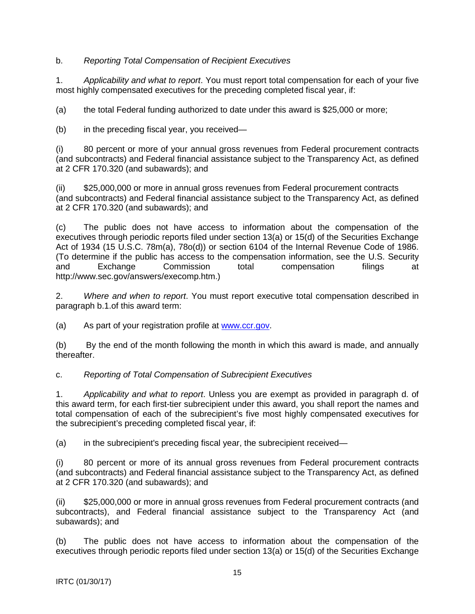b. *Reporting Total Compensation of Recipient Executives*

1. *Applicability and what to report*. You must report total compensation for each of your five most highly compensated executives for the preceding completed fiscal year, if:

(a) the total Federal funding authorized to date under this award is \$25,000 or more;

(b) in the preceding fiscal year, you received—

(i) 80 percent or more of your annual gross revenues from Federal procurement contracts (and subcontracts) and Federal financial assistance subject to the Transparency Act, as defined at 2 CFR 170.320 (and subawards); and

(ii) \$25,000,000 or more in annual gross revenues from Federal procurement contracts (and subcontracts) and Federal financial assistance subject to the Transparency Act, as defined at 2 CFR 170.320 (and subawards); and

(c) The public does not have access to information about the compensation of the executives through periodic reports filed under section 13(a) or 15(d) of the Securities Exchange Act of 1934 (15 U.S.C. 78m(a), 78o(d)) or section 6104 of the Internal Revenue Code of 1986. (To determine if the public has access to the compensation information, see the U.S. Security<br>and Exchange Commission total compensation filings at and Exchange Commission total compensation filings at http://www.sec.gov/answers/execomp.htm.)

2. *Where and when to report*. You must report executive total compensation described in paragraph b.1.of this award term:

(a) As part of your registration profile at [www.ccr.gov.](http://www.ccr.gov/)

(b) By the end of the month following the month in which this award is made, and annually thereafter.

c. *Reporting of Total Compensation of Subrecipient Executives*

1. *Applicability and what to report*. Unless you are exempt as provided in paragraph d. of this award term, for each first-tier subrecipient under this award, you shall report the names and total compensation of each of the subrecipient's five most highly compensated executives for the subrecipient's preceding completed fiscal year, if:

(a) in the subrecipient's preceding fiscal year, the subrecipient received—

(i) 80 percent or more of its annual gross revenues from Federal procurement contracts (and subcontracts) and Federal financial assistance subject to the Transparency Act, as defined at 2 CFR 170.320 (and subawards); and

(ii) \$25,000,000 or more in annual gross revenues from Federal procurement contracts (and subcontracts), and Federal financial assistance subject to the Transparency Act (and subawards); and

(b) The public does not have access to information about the compensation of the executives through periodic reports filed under section 13(a) or 15(d) of the Securities Exchange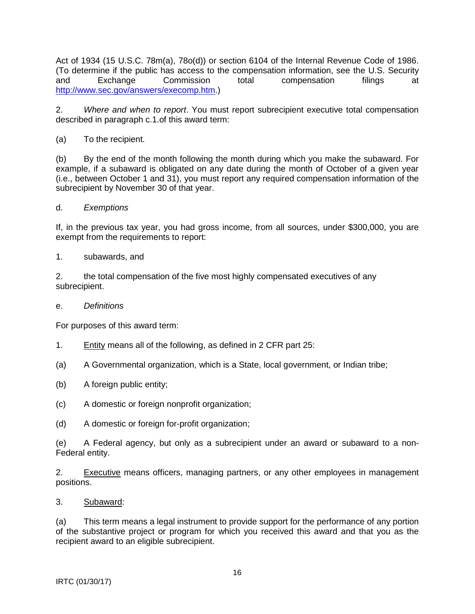Act of 1934 (15 U.S.C. 78m(a), 78o(d)) or section 6104 of the Internal Revenue Code of 1986. (To determine if the public has access to the compensation information, see the U.S. Security and Exchange Commission total compensation filings at [http://www.sec.gov/answers/execomp.htm.](http://www.sec.gov/answers/execomp.htm))

2. *Where and when to report*. You must report subrecipient executive total compensation described in paragraph c.1.of this award term:

# (a) To the recipient.

(b) By the end of the month following the month during which you make the subaward. For example, if a subaward is obligated on any date during the month of October of a given year (i.e., between October 1 and 31), you must report any required compensation information of the subrecipient by November 30 of that year.

## d. *Exemptions*

If, in the previous tax year, you had gross income, from all sources, under \$300,000, you are exempt from the requirements to report:

#### 1. subawards, and

2. the total compensation of the five most highly compensated executives of any subrecipient.

#### e. *Definitions*

For purposes of this award term:

- 1. Entity means all of the following, as defined in 2 CFR part 25:
- (a) A Governmental organization, which is a State, local government, or Indian tribe;
- (b) A foreign public entity;
- (c) A domestic or foreign nonprofit organization;
- (d) A domestic or foreign for-profit organization;

(e) A Federal agency, but only as a subrecipient under an award or subaward to a non-Federal entity.

2. Executive means officers, managing partners, or any other employees in management positions.

3. Subaward:

(a) This term means a legal instrument to provide support for the performance of any portion of the substantive project or program for which you received this award and that you as the recipient award to an eligible subrecipient.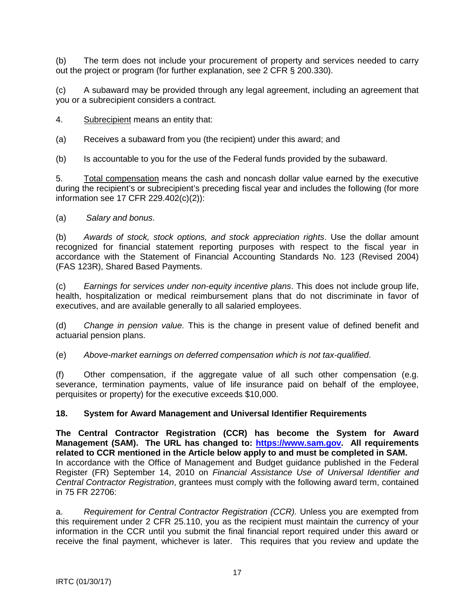(b) The term does not include your procurement of property and services needed to carry out the project or program (for further explanation, see 2 CFR § 200.330).

(c) A subaward may be provided through any legal agreement, including an agreement that you or a subrecipient considers a contract.

4. Subrecipient means an entity that:

(a) Receives a subaward from you (the recipient) under this award; and

(b) Is accountable to you for the use of the Federal funds provided by the subaward.

5. Total compensation means the cash and noncash dollar value earned by the executive during the recipient's or subrecipient's preceding fiscal year and includes the following (for more information see 17 CFR 229.402(c)(2)):

(a) *Salary and bonus*.

(b) *Awards of stock, stock options, and stock appreciation rights*. Use the dollar amount recognized for financial statement reporting purposes with respect to the fiscal year in accordance with the Statement of Financial Accounting Standards No. 123 (Revised 2004) (FAS 123R), Shared Based Payments.

(c) *Earnings for services under non-equity incentive plans*. This does not include group life, health, hospitalization or medical reimbursement plans that do not discriminate in favor of executives, and are available generally to all salaried employees.

(d) *Change in pension value.* This is the change in present value of defined benefit and actuarial pension plans.

(e) *Above-market earnings on deferred compensation which is not tax-qualified*.

(f) Other compensation, if the aggregate value of all such other compensation (e.g. severance, termination payments, value of life insurance paid on behalf of the employee, perquisites or property) for the executive exceeds \$10,000.

## **18. System for Award Management and Universal Identifier Requirements**

**The Central Contractor Registration (CCR) has become the System for Award Management (SAM). The URL has changed to: [https://www.sam.gov.](https://www.sam.gov/) All requirements related to CCR mentioned in the Article below apply to and must be completed in SAM.**  In accordance with the Office of Management and Budget guidance published in the Federal Register (FR) September 14, 2010 on *Financial Assistance Use of Universal Identifier and Central Contractor Registration*, grantees must comply with the following award term, contained in 75 FR 22706:

a. *Requirement for Central Contractor Registration (CCR).* Unless you are exempted from this requirement under 2 CFR 25.110, you as the recipient must maintain the currency of your information in the CCR until you submit the final financial report required under this award or receive the final payment, whichever is later. This requires that you review and update the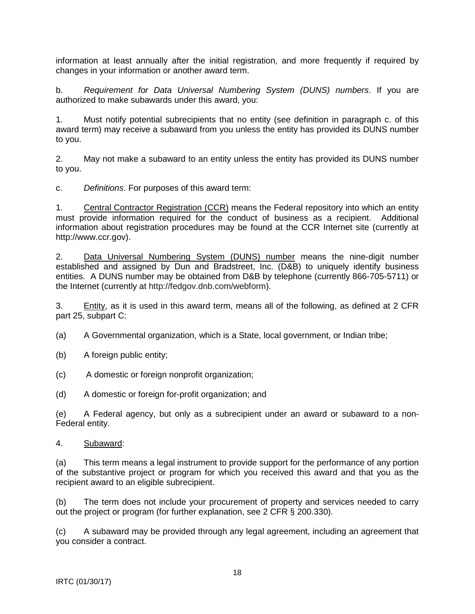information at least annually after the initial registration, and more frequently if required by changes in your information or another award term.

b. *Requirement for Data Universal Numbering System (DUNS) numbers*. If you are authorized to make subawards under this award, you:

1. Must notify potential subrecipients that no entity (see definition in paragraph c. of this award term) may receive a subaward from you unless the entity has provided its DUNS number to you.

2. May not make a subaward to an entity unless the entity has provided its DUNS number to you.

c. *Definitions*. For purposes of this award term:

1. Central Contractor Registration (CCR) means the Federal repository into which an entity must provide information required for the conduct of business as a recipient. Additional information about registration procedures may be found at the CCR Internet site (currently at http://www.ccr.gov).

2. Data Universal Numbering System (DUNS) number means the nine-digit number established and assigned by Dun and Bradstreet, Inc. (D&B) to uniquely identify business entities. A DUNS number may be obtained from D&B by telephone (currently 866-705-5711) or the Internet (currently at http://fedgov.dnb.com/webform).

3. Entity, as it is used in this award term, means all of the following, as defined at 2 CFR part 25, subpart C:

(a) A Governmental organization, which is a State, local government, or Indian tribe;

- (b) A foreign public entity;
- (c) A domestic or foreign nonprofit organization;

(d) A domestic or foreign for-profit organization; and

(e) A Federal agency, but only as a subrecipient under an award or subaward to a non-Federal entity.

#### 4. Subaward:

(a) This term means a legal instrument to provide support for the performance of any portion of the substantive project or program for which you received this award and that you as the recipient award to an eligible subrecipient.

(b) The term does not include your procurement of property and services needed to carry out the project or program (for further explanation, see 2 CFR § 200.330).

(c) A subaward may be provided through any legal agreement, including an agreement that you consider a contract.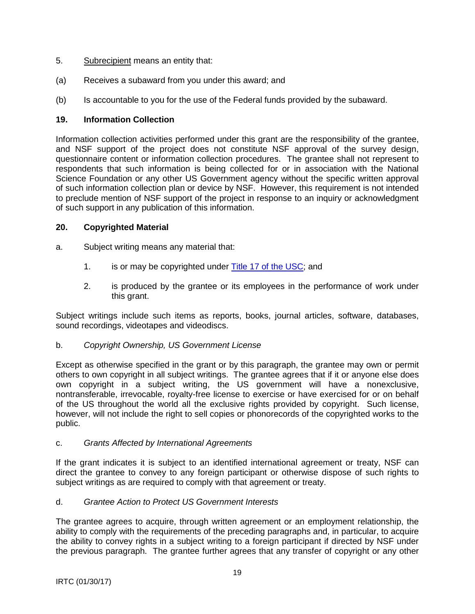- 5. Subrecipient means an entity that:
- (a) Receives a subaward from you under this award; and
- (b) Is accountable to you for the use of the Federal funds provided by the subaward.

## **19. Information Collection**

Information collection activities performed under this grant are the responsibility of the grantee, and NSF support of the project does not constitute NSF approval of the survey design, questionnaire content or information collection procedures. The grantee shall not represent to respondents that such information is being collected for or in association with the National Science Foundation or any other US Government agency without the specific written approval of such information collection plan or device by NSF. However, this requirement is not intended to preclude mention of NSF support of the project in response to an inquiry or acknowledgment of such support in any publication of this information.

## **20. Copyrighted Material**

- a. Subject writing means any material that:
	- 1. is or may be copyrighted under [Title 17 of the USC;](http://www.copyright.gov/title17/) and
	- 2. is produced by the grantee or its employees in the performance of work under this grant.

Subject writings include such items as reports, books, journal articles, software, databases, sound recordings, videotapes and videodiscs.

## b. *Copyright Ownership, US Government License*

Except as otherwise specified in the grant or by this paragraph, the grantee may own or permit others to own copyright in all subject writings. The grantee agrees that if it or anyone else does own copyright in a subject writing, the US government will have a nonexclusive, nontransferable, irrevocable, royalty-free license to exercise or have exercised for or on behalf of the US throughout the world all the exclusive rights provided by copyright. Such license, however, will not include the right to sell copies or phonorecords of the copyrighted works to the public.

## c. *Grants Affected by International Agreements*

If the grant indicates it is subject to an identified international agreement or treaty, NSF can direct the grantee to convey to any foreign participant or otherwise dispose of such rights to subject writings as are required to comply with that agreement or treaty.

## d. *Grantee Action to Protect US Government Interests*

The grantee agrees to acquire, through written agreement or an employment relationship, the ability to comply with the requirements of the preceding paragraphs and, in particular, to acquire the ability to convey rights in a subject writing to a foreign participant if directed by NSF under the previous paragraph. The grantee further agrees that any transfer of copyright or any other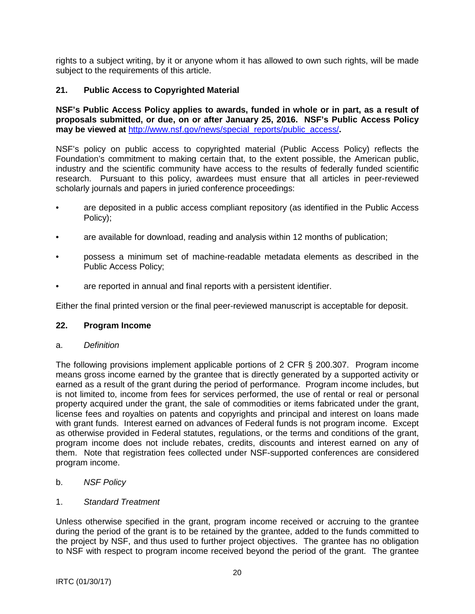rights to a subject writing, by it or anyone whom it has allowed to own such rights, will be made subject to the requirements of this article.

## **21. Public Access to Copyrighted Material**

**NSF's Public Access Policy applies to awards, funded in whole or in part, as a result of proposals submitted, or due, on or after January 25, 2016. NSF's Public Access Policy may be viewed at** [http://www.nsf.gov/news/special\\_reports/public\\_access/](http://www.nsf.gov/news/special_reports/public_access/)**.**

NSF's policy on public access to copyrighted material (Public Access Policy) reflects the Foundation's commitment to making certain that, to the extent possible, the American public, industry and the scientific community have access to the results of federally funded scientific research. Pursuant to this policy, awardees must ensure that all articles in peer-reviewed scholarly journals and papers in juried conference proceedings:

- are deposited in a public access compliant repository (as identified in the Public Access Policy);
- are available for download, reading and analysis within 12 months of publication;
- possess a minimum set of machine-readable metadata elements as described in the Public Access Policy;
- are reported in annual and final reports with a persistent identifier.

Either the final printed version or the final peer-reviewed manuscript is acceptable for deposit.

#### **22. Program Income**

a. *Definition*

The following provisions implement applicable portions of 2 CFR § 200.307. Program income means gross income earned by the grantee that is directly generated by a supported activity or earned as a result of the grant during the period of performance. Program income includes, but is not limited to, income from fees for services performed, the use of rental or real or personal property acquired under the grant, the sale of commodities or items fabricated under the grant, license fees and royalties on patents and copyrights and principal and interest on loans made with grant funds. Interest earned on advances of Federal funds is not program income. Except as otherwise provided in Federal statutes, regulations, or the terms and conditions of the grant, program income does not include rebates, credits, discounts and interest earned on any of them. Note that registration fees collected under NSF-supported conferences are considered program income.

- b. *NSF Policy*
- 1. *Standard Treatment*

Unless otherwise specified in the grant, program income received or accruing to the grantee during the period of the grant is to be retained by the grantee, added to the funds committed to the project by NSF, and thus used to further project objectives. The grantee has no obligation to NSF with respect to program income received beyond the period of the grant. The grantee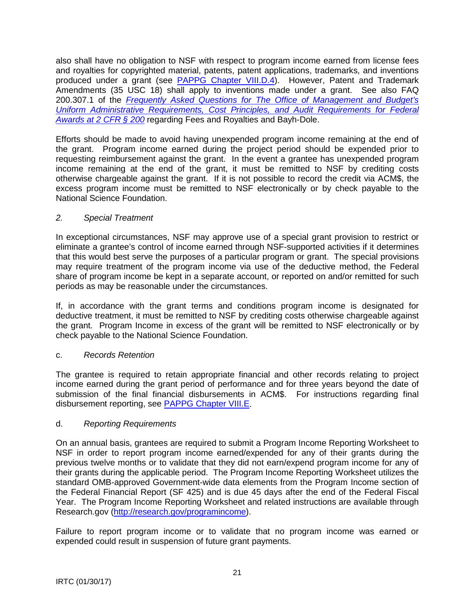also shall have no obligation to NSF with respect to program income earned from license fees and royalties for copyrighted material, patents, patent applications, trademarks, and inventions produced under a grant (see [PAPPG Chapter VIII.D.4\)](https://www.nsf.gov/pubs/policydocs/pappg17_1/pappg_8.jsp#VIIID4). However, Patent and Trademark Amendments (35 USC 18) shall apply to inventions made under a grant. See also FAQ 200.307.1 of the *[Frequently Asked Questions for The Office of Management and Budget's](https://cfo.gov/wp-content/uploads/2015/09/9.9.15-Frequently-Asked-Questions.pdf)  [Uniform Administrative Requirements, Cost Principles, and Audit Requirements for Federal](https://cfo.gov/wp-content/uploads/2015/09/9.9.15-Frequently-Asked-Questions.pdf)  [Awards at 2 CFR § 200](https://cfo.gov/wp-content/uploads/2015/09/9.9.15-Frequently-Asked-Questions.pdf)* regarding Fees and Royalties and Bayh-Dole.

Efforts should be made to avoid having unexpended program income remaining at the end of the grant. Program income earned during the project period should be expended prior to requesting reimbursement against the grant. In the event a grantee has unexpended program income remaining at the end of the grant, it must be remitted to NSF by crediting costs otherwise chargeable against the grant. If it is not possible to record the credit via ACM\$, the excess program income must be remitted to NSF electronically or by check payable to the National Science Foundation.

# *2. Special Treatment*

In exceptional circumstances, NSF may approve use of a special grant provision to restrict or eliminate a grantee's control of income earned through NSF-supported activities if it determines that this would best serve the purposes of a particular program or grant. The special provisions may require treatment of the program income via use of the deductive method, the Federal share of program income be kept in a separate account, or reported on and/or remitted for such periods as may be reasonable under the circumstances.

If, in accordance with the grant terms and conditions program income is designated for deductive treatment, it must be remitted to NSF by crediting costs otherwise chargeable against the grant. Program Income in excess of the grant will be remitted to NSF electronically or by check payable to the National Science Foundation.

# c. *Records Retention*

The grantee is required to retain appropriate financial and other records relating to project income earned during the grant period of performance and for three years beyond the date of submission of the final financial disbursements in ACM\$. For instructions regarding final disbursement reporting, see [PAPPG Chapter VIII.E.](https://www.nsf.gov/pubs/policydocs/pappg17_1/pappg_8.jsp#VIIIE)

# d. *Reporting Requirements*

On an annual basis, grantees are required to submit a Program Income Reporting Worksheet to NSF in order to report program income earned/expended for any of their grants during the previous twelve months or to validate that they did not earn/expend program income for any of their grants during the applicable period. The Program Income Reporting Worksheet utilizes the standard OMB-approved Government-wide data elements from the Program Income section of the Federal Financial Report (SF 425) and is due 45 days after the end of the Federal Fiscal Year. The Program Income Reporting Worksheet and related instructions are available through Research.gov [\(http://research.gov/programincome\)](http://research.gov/programincome).

Failure to report program income or to validate that no program income was earned or expended could result in suspension of future grant payments.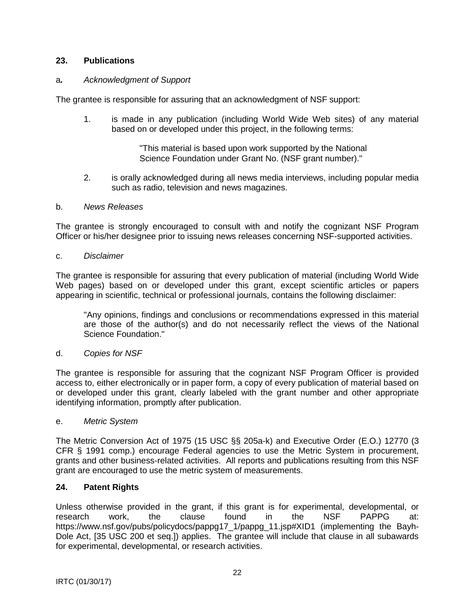## **23. Publications**

#### a*. Acknowledgment of Support*

The grantee is responsible for assuring that an acknowledgment of NSF support:

1. is made in any publication (including World Wide Web sites) of any material based on or developed under this project, in the following terms:

> "This material is based upon work supported by the National Science Foundation under Grant No. (NSF grant number)."

2. is orally acknowledged during all news media interviews, including popular media such as radio, television and news magazines.

#### b. *News Releases*

The grantee is strongly encouraged to consult with and notify the cognizant NSF Program Officer or his/her designee prior to issuing news releases concerning NSF-supported activities.

#### c. *Disclaimer*

The grantee is responsible for assuring that every publication of material (including World Wide Web pages) based on or developed under this grant, except scientific articles or papers appearing in scientific, technical or professional journals, contains the following disclaimer:

"Any opinions, findings and conclusions or recommendations expressed in this material are those of the author(s) and do not necessarily reflect the views of the National Science Foundation."

#### d. *Copies for NSF*

The grantee is responsible for assuring that the cognizant NSF Program Officer is provided access to, either electronically or in paper form, a copy of every publication of material based on or developed under this grant, clearly labeled with the grant number and other appropriate identifying information, promptly after publication.

#### e. *Metric System*

The Metric Conversion Act of 1975 (15 USC §§ 205a-k) and Executive Order (E.O.) 12770 (3 CFR § 1991 comp.) encourage Federal agencies to use the Metric System in procurement, grants and other business-related activities. All reports and publications resulting from this NSF grant are encouraged to use the metric system of measurements.

#### **24. Patent Rights**

Unless otherwise provided in the grant, if this grant is for experimental, developmental, or research work, the clause found in the NSF PAPPG at: https://www.nsf.gov/pubs/policydocs/pappg17\_1/pappg\_11.jsp#XID1 (implementing the Bayh-Dole Act, [35 USC 200 et seq.]) applies. The grantee will include that clause in all subawards for experimental, developmental, or research activities.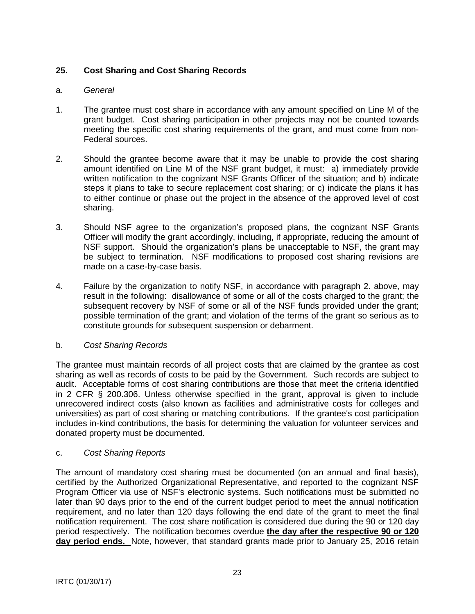# **25. Cost Sharing and Cost Sharing Records**

# a. *General*

- 1. The grantee must cost share in accordance with any amount specified on Line M of the grant budget. Cost sharing participation in other projects may not be counted towards meeting the specific cost sharing requirements of the grant, and must come from non-Federal sources.
- 2. Should the grantee become aware that it may be unable to provide the cost sharing amount identified on Line M of the NSF grant budget, it must: a) immediately provide written notification to the cognizant NSF Grants Officer of the situation; and b) indicate steps it plans to take to secure replacement cost sharing; or c) indicate the plans it has to either continue or phase out the project in the absence of the approved level of cost sharing.
- 3. Should NSF agree to the organization's proposed plans, the cognizant NSF Grants Officer will modify the grant accordingly, including, if appropriate, reducing the amount of NSF support. Should the organization's plans be unacceptable to NSF, the grant may be subject to termination. NSF modifications to proposed cost sharing revisions are made on a case-by-case basis.
- 4. Failure by the organization to notify NSF, in accordance with paragraph 2. above, may result in the following: disallowance of some or all of the costs charged to the grant; the subsequent recovery by NSF of some or all of the NSF funds provided under the grant; possible termination of the grant; and violation of the terms of the grant so serious as to constitute grounds for subsequent suspension or debarment.

## b. *Cost Sharing Records*

The grantee must maintain records of all project costs that are claimed by the grantee as cost sharing as well as records of costs to be paid by the Government. Such records are subject to audit. Acceptable forms of cost sharing contributions are those that meet the criteria identified in 2 CFR § 200.306. Unless otherwise specified in the grant, approval is given to include unrecovered indirect costs (also known as facilities and administrative costs for colleges and universities) as part of cost sharing or matching contributions. If the grantee's cost participation includes in-kind contributions, the basis for determining the valuation for volunteer services and donated property must be documented.

# c. *Cost Sharing Reports*

The amount of mandatory cost sharing must be documented (on an annual and final basis), certified by the Authorized Organizational Representative, and reported to the cognizant NSF Program Officer via use of NSF's electronic systems. Such notifications must be submitted no later than 90 days prior to the end of the current budget period to meet the annual notification requirement, and no later than 120 days following the end date of the grant to meet the final notification requirement. The cost share notification is considered due during the 90 or 120 day period respectively. The notification becomes overdue **the day after the respective 90 or 120 day period ends.** Note, however, that standard grants made prior to January 25, 2016 retain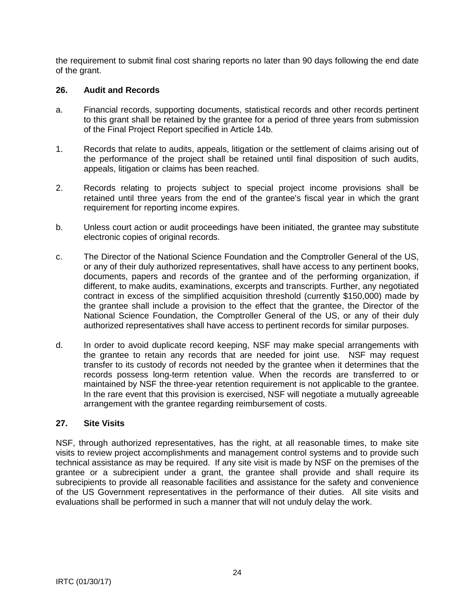the requirement to submit final cost sharing reports no later than 90 days following the end date of the grant.

## **26. Audit and Records**

- a. Financial records, supporting documents, statistical records and other records pertinent to this grant shall be retained by the grantee for a period of three years from submission of the Final Project Report specified in Article 14b.
- 1. Records that relate to audits, appeals, litigation or the settlement of claims arising out of the performance of the project shall be retained until final disposition of such audits, appeals, litigation or claims has been reached.
- 2. Records relating to projects subject to special project income provisions shall be retained until three years from the end of the grantee's fiscal year in which the grant requirement for reporting income expires.
- b. Unless court action or audit proceedings have been initiated, the grantee may substitute electronic copies of original records.
- c. The Director of the National Science Foundation and the Comptroller General of the US, or any of their duly authorized representatives, shall have access to any pertinent books, documents, papers and records of the grantee and of the performing organization, if different, to make audits, examinations, excerpts and transcripts. Further, any negotiated contract in excess of the simplified acquisition threshold (currently \$150,000) made by the grantee shall include a provision to the effect that the grantee, the Director of the National Science Foundation, the Comptroller General of the US, or any of their duly authorized representatives shall have access to pertinent records for similar purposes.
- d. In order to avoid duplicate record keeping, NSF may make special arrangements with the grantee to retain any records that are needed for joint use. NSF may request transfer to its custody of records not needed by the grantee when it determines that the records possess long-term retention value. When the records are transferred to or maintained by NSF the three-year retention requirement is not applicable to the grantee. In the rare event that this provision is exercised, NSF will negotiate a mutually agreeable arrangement with the grantee regarding reimbursement of costs.

## **27. Site Visits**

NSF, through authorized representatives, has the right, at all reasonable times, to make site visits to review project accomplishments and management control systems and to provide such technical assistance as may be required. If any site visit is made by NSF on the premises of the grantee or a subrecipient under a grant, the grantee shall provide and shall require its subrecipients to provide all reasonable facilities and assistance for the safety and convenience of the US Government representatives in the performance of their duties. All site visits and evaluations shall be performed in such a manner that will not unduly delay the work.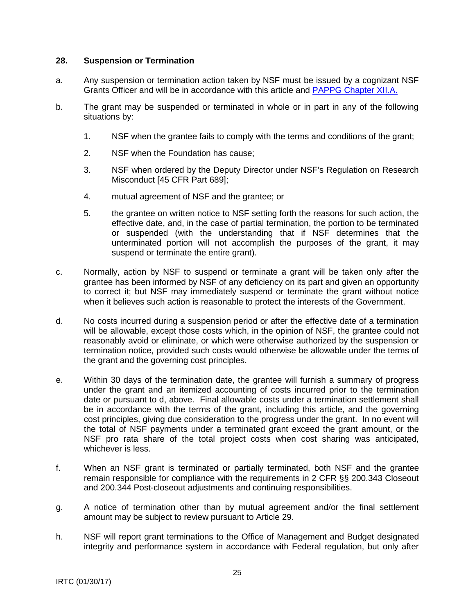#### **28. Suspension or Termination**

- a. Any suspension or termination action taken by NSF must be issued by a cognizant NSF Grants Officer and will be in accordance with this article and [PAPPG Chapter XII.A.](https://www.nsf.gov/pubs/policydocs/pappg17_1/pappg_12.jsp#XIIA)
- b. The grant may be suspended or terminated in whole or in part in any of the following situations by:
	- 1. NSF when the grantee fails to comply with the terms and conditions of the grant;
	- 2. NSF when the Foundation has cause;
	- 3. NSF when ordered by the Deputy Director under NSF's Regulation on Research Misconduct [45 CFR Part 689];
	- 4. mutual agreement of NSF and the grantee; or
	- 5. the grantee on written notice to NSF setting forth the reasons for such action, the effective date, and, in the case of partial termination, the portion to be terminated or suspended (with the understanding that if NSF determines that the unterminated portion will not accomplish the purposes of the grant, it may suspend or terminate the entire grant).
- c. Normally, action by NSF to suspend or terminate a grant will be taken only after the grantee has been informed by NSF of any deficiency on its part and given an opportunity to correct it; but NSF may immediately suspend or terminate the grant without notice when it believes such action is reasonable to protect the interests of the Government.
- d. No costs incurred during a suspension period or after the effective date of a termination will be allowable, except those costs which, in the opinion of NSF, the grantee could not reasonably avoid or eliminate, or which were otherwise authorized by the suspension or termination notice, provided such costs would otherwise be allowable under the terms of the grant and the governing cost principles.
- e. Within 30 days of the termination date, the grantee will furnish a summary of progress under the grant and an itemized accounting of costs incurred prior to the termination date or pursuant to d, above. Final allowable costs under a termination settlement shall be in accordance with the terms of the grant, including this article, and the governing cost principles, giving due consideration to the progress under the grant. In no event will the total of NSF payments under a terminated grant exceed the grant amount, or the NSF pro rata share of the total project costs when cost sharing was anticipated, whichever is less.
- f. When an NSF grant is terminated or partially terminated, both NSF and the grantee remain responsible for compliance with the requirements in 2 CFR §§ 200.343 Closeout and 200.344 Post-closeout adjustments and continuing responsibilities.
- g. A notice of termination other than by mutual agreement and/or the final settlement amount may be subject to review pursuant to Article 29.
- h. NSF will report grant terminations to the Office of Management and Budget designated integrity and performance system in accordance with Federal regulation, but only after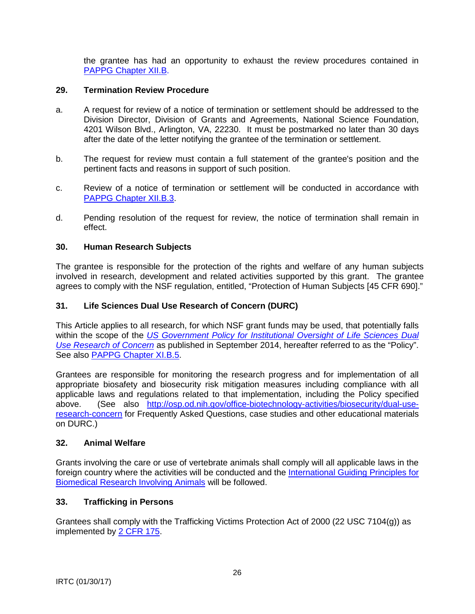the grantee has had an opportunity to exhaust the review procedures contained in [PAPPG Chapter XII.B.](https://www.nsf.gov/pubs/policydocs/pappg17_1/pappg_12.jsp#XIIB)

## **29. Termination Review Procedure**

- a. A request for review of a notice of termination or settlement should be addressed to the Division Director, Division of Grants and Agreements, National Science Foundation, 4201 Wilson Blvd., Arlington, VA, 22230. It must be postmarked no later than 30 days after the date of the letter notifying the grantee of the termination or settlement.
- b. The request for review must contain a full statement of the grantee's position and the pertinent facts and reasons in support of such position.
- c. Review of a notice of termination or settlement will be conducted in accordance with [PAPPG Chapter XII.B.3.](https://www.nsf.gov/pubs/policydocs/pappg17_1/pappg_12.jsp#XIIB)
- d. Pending resolution of the request for review, the notice of termination shall remain in effect.

#### **30. Human Research Subjects**

The grantee is responsible for the protection of the rights and welfare of any human subjects involved in research, development and related activities supported by this grant. The grantee agrees to comply with the NSF regulation, entitled, "Protection of Human Subjects [45 CFR 690]."

#### **31. Life Sciences Dual Use Research of Concern (DURC)**

This Article applies to all research, for which NSF grant funds may be used, that potentially falls within the scope of the *[US Government Policy for Institutional Oversight of Life Sciences Dual](http://www.phe.gov/s3/dualuse/Pages/default.aspx)  [Use Research of Concern](http://www.phe.gov/s3/dualuse/Pages/default.aspx)* as published in September 2014, hereafter referred to as the "Policy". See also [PAPPG Chapter XI.B.5.](https://www.nsf.gov/pubs/policydocs/pappg17_1/pappg_11.jsp#XIB5)

Grantees are responsible for monitoring the research progress and for implementation of all appropriate biosafety and biosecurity risk mitigation measures including compliance with all applicable laws and regulations related to that implementation, including the Policy specified above. (See also [http://osp.od.nih.gov/office-biotechnology-activities/biosecurity/dual-use](http://osp.od.nih.gov/office-biotechnology-activities/biosecurity/dual-use-research-concern)[research-concern](http://osp.od.nih.gov/office-biotechnology-activities/biosecurity/dual-use-research-concern) for Frequently Asked Questions, case studies and other educational materials on DURC.)

#### **32. Animal Welfare**

Grants involving the care or use of vertebrate animals shall comply will all applicable laws in the foreign country where the activities will be conducted and the [International Guiding Principles for](http://grants.nih.gov/grants/olaw/Guiding_Principles_2012.pdf)  [Biomedical Research Involving Animals](http://grants.nih.gov/grants/olaw/Guiding_Principles_2012.pdf) will be followed.

#### **33. Trafficking in Persons**

Grantees shall comply with the Trafficking Victims Protection Act of 2000 (22 USC 7104(g)) as implemented by [2 CFR 175.](http://www.ecfr.gov/cgi-bin/text-idx?tpl=/ecfrbrowse/Title02/2cfr175_main_02.tpl)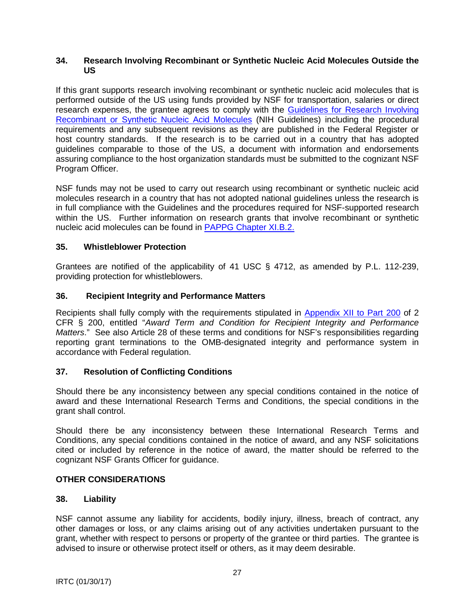#### **34. Research Involving Recombinant or Synthetic Nucleic Acid Molecules Outside the US**

If this grant supports research involving recombinant or synthetic nucleic acid molecules that is performed outside of the US using funds provided by NSF for transportation, salaries or direct research expenses, the grantee agrees to comply with the [Guidelines for Research Involving](http://osp.od.nih.gov/office-biotechnology-activities/biosafety/nih-guidelines)  [Recombinant or Synthetic Nucleic Acid Molecules](http://osp.od.nih.gov/office-biotechnology-activities/biosafety/nih-guidelines) (NIH Guidelines) including the procedural requirements and any subsequent revisions as they are published in the Federal Register or host country standards. If the research is to be carried out in a country that has adopted guidelines comparable to those of the US, a document with information and endorsements assuring compliance to the host organization standards must be submitted to the cognizant NSF Program Officer.

NSF funds may not be used to carry out research using recombinant or synthetic nucleic acid molecules research in a country that has not adopted national guidelines unless the research is in full compliance with the Guidelines and the procedures required for NSF-supported research within the US. Further information on research grants that involve recombinant or synthetic nucleic acid molecules can be found in [PAPPG Chapter XI.B.2.](https://www.nsf.gov/pubs/policydocs/pappg17_1/pappg_11.jsp#VIB2)

# **35. Whistleblower Protection**

Grantees are notified of the applicability of 41 USC § 4712, as amended by P.L. 112-239, providing protection for whistleblowers.

## **36. Recipient Integrity and Performance Matters**

Recipients shall fully comply with the requirements stipulated in [Appendix XII to Part 200](http://www.ecfr.gov/cgi-bin/text-idx?SID=704835d27377ef5213a51c149de40cab&node=2:1.1.2.2.1&rgn=div5) of 2 CFR § 200, entitled "*Award Term and Condition for Recipient Integrity and Performance Matters*." See also Article 28 of these terms and conditions for NSF's responsibilities regarding reporting grant terminations to the OMB-designated integrity and performance system in accordance with Federal regulation.

## **37. Resolution of Conflicting Conditions**

Should there be any inconsistency between any special conditions contained in the notice of award and these International Research Terms and Conditions, the special conditions in the grant shall control.

Should there be any inconsistency between these International Research Terms and Conditions, any special conditions contained in the notice of award, and any NSF solicitations cited or included by reference in the notice of award, the matter should be referred to the cognizant NSF Grants Officer for guidance.

## **OTHER CONSIDERATIONS**

## **38. Liability**

NSF cannot assume any liability for accidents, bodily injury, illness, breach of contract, any other damages or loss, or any claims arising out of any activities undertaken pursuant to the grant, whether with respect to persons or property of the grantee or third parties. The grantee is advised to insure or otherwise protect itself or others, as it may deem desirable.